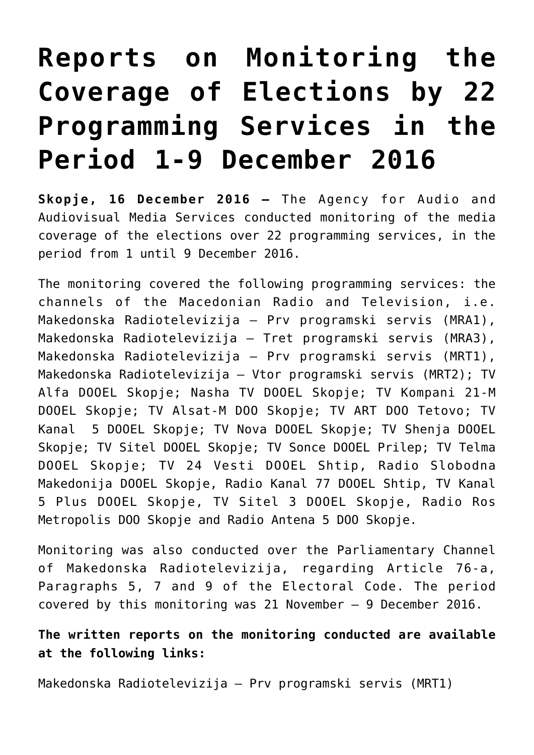## **[Reports on Monitoring the](https://avmu.mk/en/2016/12/19/25-21-9-2016-3-3/) [Coverage of Elections by 22](https://avmu.mk/en/2016/12/19/25-21-9-2016-3-3/) [Programming Services in the](https://avmu.mk/en/2016/12/19/25-21-9-2016-3-3/) [Period 1-9 December 2016](https://avmu.mk/en/2016/12/19/25-21-9-2016-3-3/)**

**Skopje, 16 December 2016 –** The Agency for Audio and Audiovisual Media Services conducted monitoring of the media coverage of the elections over 22 programming services, in the period from 1 until 9 December 2016.

The monitoring covered the following programming services: the channels of the Macedonian Radio and Television, i.e. Makedonska Radiotelevizija – Prv programski servis (MRA1), Makedonska Radiotelevizija – Tret programski servis (MRA3), Makedonska Radiotelevizija – Prv programski servis (MRT1), Makedonska Radiotelevizija – Vtor programski servis (MRT2); TV Alfa DOOEL Skopje; Nasha TV DOOEL Skopje; TV Kompani 21-M DOOEL Skopje; TV Alsat-M DOO Skopje; TV ART DOO Tetovo; TV Kanal 5 DOOEL Skopje; TV Nova DOOEL Skopje; TV Shenja DOOEL Skopje; TV Sitel DOOEL Skopje; TV Sonce DOOEL Prilep; TV Telma DOOEL Skopje; TV 24 Vesti DOOEL Shtip, Radio Slobodna Makedonija DOOEL Skopje, Radio Kanal 77 DOOEL Shtip, TV Kanal 5 Plus DOOEL Skopje, TV Sitel 3 DOOEL Skopje, Radio Ros Metropolis DOO Skopje and Radio Antena 5 DOO Skopje.

Monitoring was also conducted over the Parliamentary Channel of Makedonska Radiotelevizija, regarding Article 76-a, Paragraphs 5, 7 and 9 of the Electoral Code. The period covered by this monitoring was 21 November – 9 December 2016.

## **The written reports on the monitoring conducted are available at the following links:**

[Makedonska Radiotelevizija – Prv programski servis \(MRT1\)](http://avmu.mk/wp-content/uploads/2017/05/MRT_1_16.12.2016.pdf)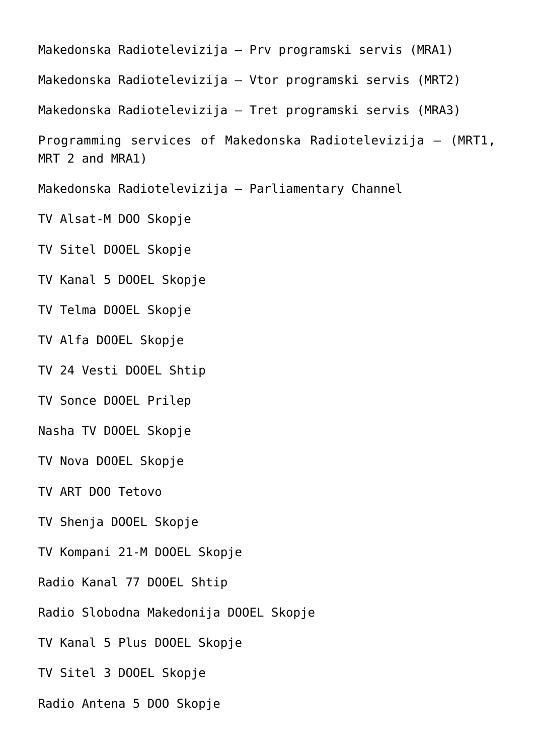[Makedonska Radiotelevizija – Prv programski servis \(MRA1\)](http://avmu.mk/wp-content/uploads/2017/05/MRA_1_16.12.2016.pdf)  [Makedonska Radiotelevizija – Vtor programski servis \(MRT2\)](http://avmu.mk/wp-content/uploads/2017/06/MRT_2_16.12.2016.pdf)  [Makedonska Radiotelevizija – Tret programski servis \(MRA3\)](http://avmu.mk/wp-content/uploads/2017/06/MRA_3_16.12.2016.pdf) [Programming services of Makedonska Radiotelevizija – \(MRT1,](http://avmu.mk/wp-content/uploads/2017/06/Programskite_servisi_na_JP_Makedonska_radoptelevizija_Skopje_16.12.2016.pdf) [MRT 2 and MRA1\)](http://avmu.mk/wp-content/uploads/2017/06/Programskite_servisi_na_JP_Makedonska_radoptelevizija_Skopje_16.12.2016.pdf) [Makedonska Radiotelevizija – Parliamentary Channel](http://avmu.mk/wp-content/uploads/2017/06/Sobraniski_kanal_16.12.2016.pdf) [TV Alsat-M DOO Skopje](http://avmu.mk/wp-content/uploads/2017/06/Alsat-M_16.12.2016.pdf)  [TV Sitel DOOEL Skopje](http://avmu.mk/wp-content/uploads/2017/06/Sitel_16.12.2016.pdf)  [TV Kanal 5 DOOEL Skopje](http://avmu.mk/wp-content/uploads/2017/06/Kanal_5_16.12.2016.pdf)  [TV Telma DOOEL Skopje](http://avmu.mk/wp-content/uploads/2017/06/Telma_16.12.2016.pdf) [TV Alfa DOOEL Skopje](http://avmu.mk/wp-content/uploads/2017/06/Alfa_TV_16.12.2016-1.pdf)  [TV 24 Vesti DOOEL Shtip](http://avmu.mk/wp-content/uploads/2017/06/24_Vesti_16.12.2016.pdf)  [TV Sonce DOOEL Prilep](http://avmu.mk/wp-content/uploads/2017/06/TV_Sonce_16.12.2016.pdf)  [Nasha TV DOOEL Skopje](http://avmu.mk/wp-content/uploads/2017/06/Nasa_TV_16.12.2016.pdf) [TV Nova DOOEL Skopje](http://avmu.mk/wp-content/uploads/2017/06/TV_Nova_16.12.2016.pdf)  [TV ART DOO Tetovo](http://avmu.mk/wp-content/uploads/2017/06/TV_ART_Artan_16.12.2016.pdf)  [TV Shenja DOOEL Skopje](http://avmu.mk/wp-content/uploads/2017/06/TV_Senja_16.12.2016.pdf)  [TV Kompani 21-M DOOEL Skopje](http://avmu.mk/wp-content/uploads/2017/06/TV_21_16.12.2016.pdf)  [Radio Kanal 77 DOOEL Shtip](http://avmu.mk/wp-content/uploads/2017/06/Kanal_77_16.pdf)  [Radio Slobodna Makedonija DOOEL Skopje](http://avmu.mk/wp-content/uploads/2017/06/Radio_Slobodna_Makedonija_16.pdf)  [TV Kanal 5 Plus DOOEL Skopje](http://avmu.mk/wp-content/uploads/2017/06/Kanal_5_Plus_16.pdf)  [TV Sitel 3 DOOEL Skopje](http://avmu.mk/wp-content/uploads/2017/06/Sitel_3_16.pdf)  [Radio Antena 5 DOO Skopje](http://avmu.mk/wp-content/uploads/2017/06/Radio_Antena_5_16.pdf)